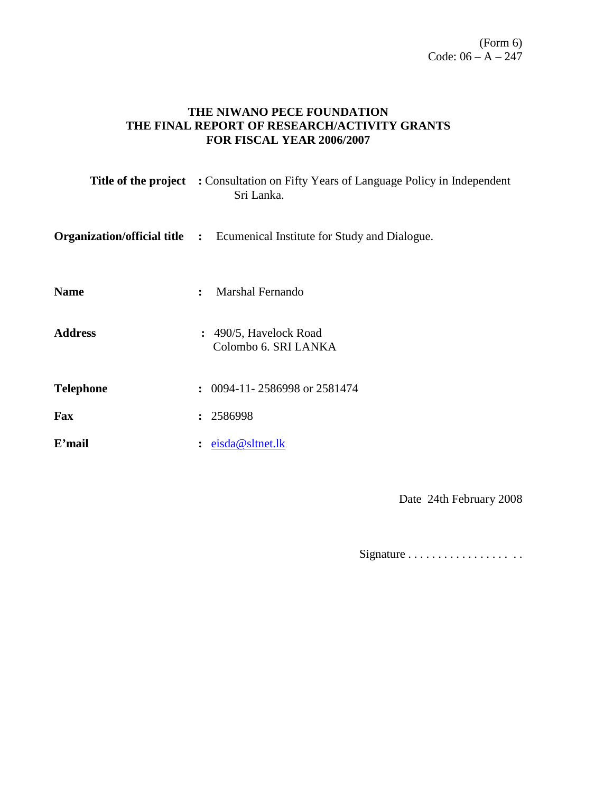### **THE NIWANO PECE FOUNDATION THE FINAL REPORT OF RESEARCH/ACTIVITY GRANTS FOR FISCAL YEAR 2006/2007**

|                  | <b>Title of the project</b> : Consultation on Fifty Years of Language Policy in Independent<br>Sri Lanka. |
|------------------|-----------------------------------------------------------------------------------------------------------|
|                  | <b>Organization/official title :</b> Ecumenical Institute for Study and Dialogue.                         |
| <b>Name</b>      | Marshal Fernando<br>$\ddot{\cdot}$                                                                        |
| <b>Address</b>   | $: 490/5$ , Havelock Road<br>Colombo 6. SRI LANKA                                                         |
| <b>Telephone</b> | $\colon$ 0094-11-2586998 or 2581474                                                                       |
| Fax              | : 2586998                                                                                                 |
| E'mail           | eisda@sltnet.lk<br>$\ddot{\cdot}$                                                                         |

Date 24th February 2008

Signature . . . . . . . . . . . . . . . . . . .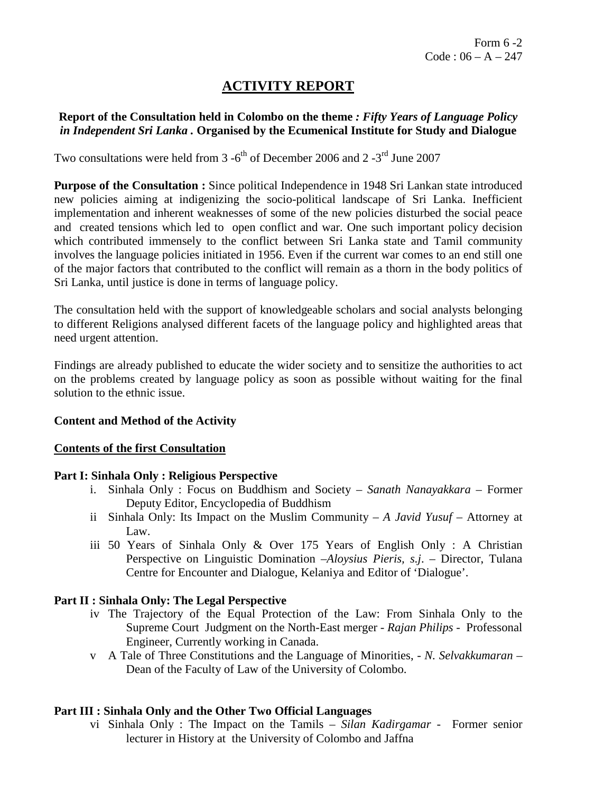# **ACTIVITY REPORT**

### **Report of the Consultation held in Colombo on the theme** *: Fifty Years of Language Policy in Independent Sri Lanka .* **Organised by the Ecumenical Institute for Study and Dialogue**

Two consultations were held from  $3 -6^{th}$  of December 2006 and  $2 -3^{rd}$  June 2007

**Purpose of the Consultation :** Since political Independence in 1948 Sri Lankan state introduced new policies aiming at indigenizing the socio-political landscape of Sri Lanka. Inefficient implementation and inherent weaknesses of some of the new policies disturbed the social peace and created tensions which led to open conflict and war. One such important policy decision which contributed immensely to the conflict between Sri Lanka state and Tamil community involves the language policies initiated in 1956. Even if the current war comes to an end still one of the major factors that contributed to the conflict will remain as a thorn in the body politics of Sri Lanka, until justice is done in terms of language policy.

The consultation held with the support of knowledgeable scholars and social analysts belonging to different Religions analysed different facets of the language policy and highlighted areas that need urgent attention.

Findings are already published to educate the wider society and to sensitize the authorities to act on the problems created by language policy as soon as possible without waiting for the final solution to the ethnic issue.

### **Content and Method of the Activity**

#### **Contents of the first Consultation**

#### **Part I: Sinhala Only : Religious Perspective**

- i. Sinhala Only : Focus on Buddhism and Society *– Sanath Nanayakkara* Former Deputy Editor, Encyclopedia of Buddhism
- ii Sinhala Only: Its Impact on the Muslim Community *A Javid Yusuf* Attorney at Law.
- iii 50 Years of Sinhala Only & Over 175 Years of English Only : A Christian Perspective on Linguistic Domination –*Aloysius Pieris, s.j*. – Director, Tulana Centre for Encounter and Dialogue, Kelaniya and Editor of 'Dialogue'.

### **Part II : Sinhala Only: The Legal Perspective**

- iv The Trajectory of the Equal Protection of the Law: From Sinhala Only to the Supreme Court Judgment on the North-East merger *- Rajan Philips* - Professonal Engineer, Currently working in Canada.
- v A Tale of Three Constitutions and the Language of Minorities, *N. Selvakkumaran* Dean of the Faculty of Law of the University of Colombo.

### **Part III : Sinhala Only and the Other Two Official Languages**

vi Sinhala Only : The Impact on the Tamils *– Silan Kadirgamar* - Former senior lecturer in History at the University of Colombo and Jaffna